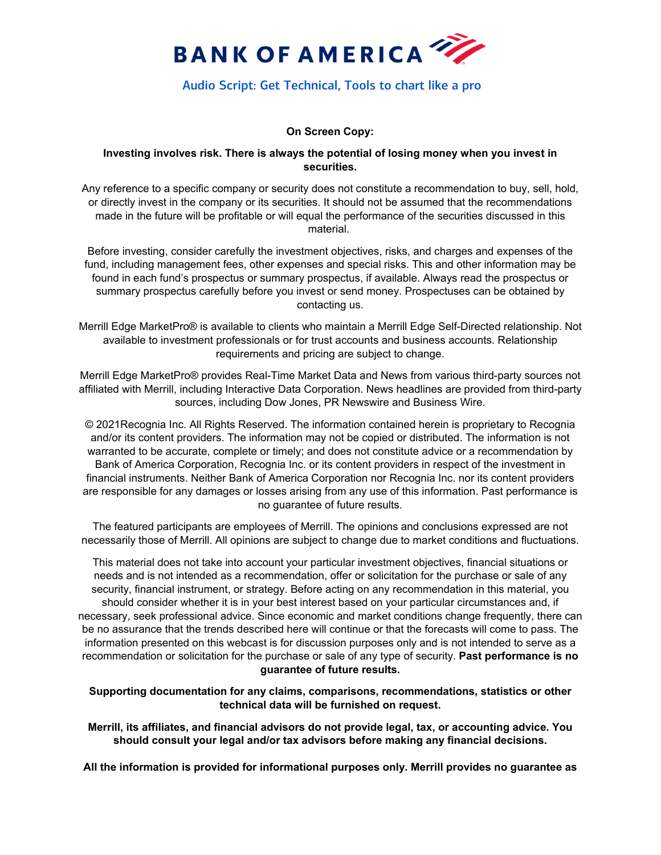

# Audio Script: Get Technical, Tools to chart like a pro

## **On Screen Copy:**

#### **Investing involves risk. There is always the potential of losing money when you invest in securities.**

Any reference to a specific company or security does not constitute a recommendation to buy, sell, hold, or directly invest in the company or its securities. It should not be assumed that the recommendations made in the future will be profitable or will equal the performance of the securities discussed in this material.

Before investing, consider carefully the investment objectives, risks, and charges and expenses of the fund, including management fees, other expenses and special risks. This and other information may be found in each fund's prospectus or summary prospectus, if available. Always read the prospectus or summary prospectus carefully before you invest or send money. Prospectuses can be obtained by contacting us.

Merrill Edge MarketPro® is available to clients who maintain a Merrill Edge Self-Directed relationship. Not available to investment professionals or for trust accounts and business accounts. Relationship requirements and pricing are subject to change.

Merrill Edge MarketPro® provides Real-Time Market Data and News from various third-party sources not affiliated with Merrill, including Interactive Data Corporation. News headlines are provided from third-party sources, including Dow Jones, PR Newswire and Business Wire.

© 2021Recognia Inc. All Rights Reserved. The information contained herein is proprietary to Recognia and/or its content providers. The information may not be copied or distributed. The information is not warranted to be accurate, complete or timely; and does not constitute advice or a recommendation by Bank of America Corporation, Recognia Inc. or its content providers in respect of the investment in financial instruments. Neither Bank of America Corporation nor Recognia Inc. nor its content providers are responsible for any damages or losses arising from any use of this information. Past performance is no guarantee of future results.

The featured participants are employees of Merrill. The opinions and conclusions expressed are not necessarily those of Merrill. All opinions are subject to change due to market conditions and fluctuations.

This material does not take into account your particular investment objectives, financial situations or needs and is not intended as a recommendation, offer or solicitation for the purchase or sale of any security, financial instrument, or strategy. Before acting on any recommendation in this material, you should consider whether it is in your best interest based on your particular circumstances and, if necessary, seek professional advice. Since economic and market conditions change frequently, there can be no assurance that the trends described here will continue or that the forecasts will come to pass. The information presented on this webcast is for discussion purposes only and is not intended to serve as a recommendation or solicitation for the purchase or sale of any type of security. **Past performance is no guarantee of future results.**

**Supporting documentation for any claims, comparisons, recommendations, statistics or other technical data will be furnished on request.**

**Merrill, its affiliates, and financial advisors do not provide legal, tax, or accounting advice. You should consult your legal and/or tax advisors before making any financial decisions.** 

**All the information is provided for informational purposes only. Merrill provides no guarantee as**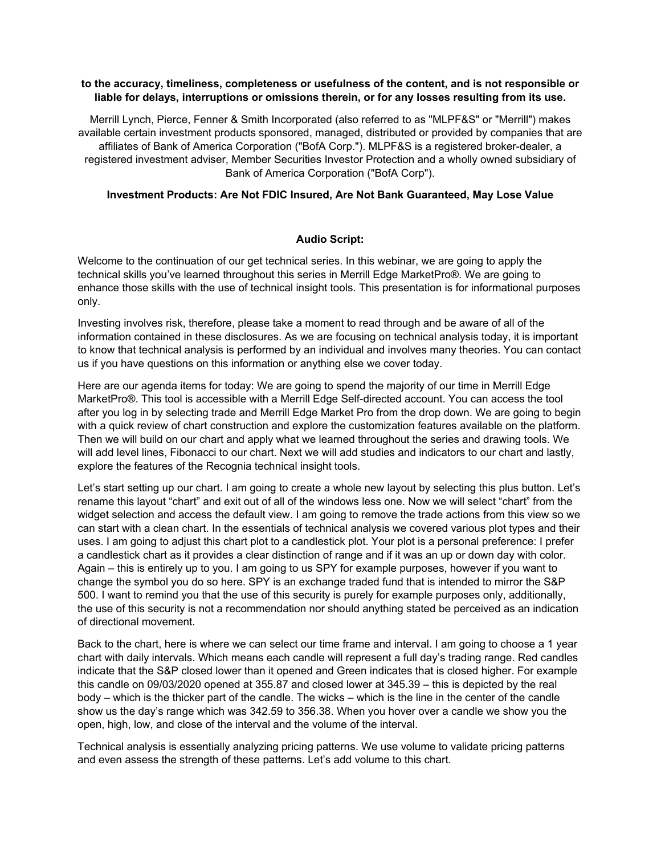#### **to the accuracy, timeliness, completeness or usefulness of the content, and is not responsible or liable for delays, interruptions or omissions therein, or for any losses resulting from its use.**

Merrill Lynch, Pierce, Fenner & Smith Incorporated (also referred to as "MLPF&S" or "Merrill") makes available certain investment products sponsored, managed, distributed or provided by companies that are affiliates of Bank of America Corporation ("BofA Corp."). MLPF&S is a registered broker-dealer, a registered investment adviser, Member Securities Investor Protection and a wholly owned subsidiary of Bank of America Corporation ("BofA Corp").

# **Investment Products: Are Not FDIC Insured, Are Not Bank Guaranteed, May Lose Value**

## **Audio Script:**

Welcome to the continuation of our get technical series. In this webinar, we are going to apply the technical skills you've learned throughout this series in Merrill Edge MarketPro®. We are going to enhance those skills with the use of technical insight tools. This presentation is for informational purposes only.

Investing involves risk, therefore, please take a moment to read through and be aware of all of the information contained in these disclosures. As we are focusing on technical analysis today, it is important to know that technical analysis is performed by an individual and involves many theories. You can contact us if you have questions on this information or anything else we cover today.

Here are our agenda items for today: We are going to spend the majority of our time in Merrill Edge MarketPro®. This tool is accessible with a Merrill Edge Self-directed account. You can access the tool after you log in by selecting trade and Merrill Edge Market Pro from the drop down. We are going to begin with a quick review of chart construction and explore the customization features available on the platform. Then we will build on our chart and apply what we learned throughout the series and drawing tools. We will add level lines, Fibonacci to our chart. Next we will add studies and indicators to our chart and lastly, explore the features of the Recognia technical insight tools.

Let's start setting up our chart. I am going to create a whole new layout by selecting this plus button. Let's rename this layout "chart" and exit out of all of the windows less one. Now we will select "chart" from the widget selection and access the default view. I am going to remove the trade actions from this view so we can start with a clean chart. In the essentials of technical analysis we covered various plot types and their uses. I am going to adjust this chart plot to a candlestick plot. Your plot is a personal preference: I prefer a candlestick chart as it provides a clear distinction of range and if it was an up or down day with color. Again – this is entirely up to you. I am going to us SPY for example purposes, however if you want to change the symbol you do so here. SPY is an exchange traded fund that is intended to mirror the S&P 500. I want to remind you that the use of this security is purely for example purposes only, additionally, the use of this security is not a recommendation nor should anything stated be perceived as an indication of directional movement.

Back to the chart, here is where we can select our time frame and interval. I am going to choose a 1 year chart with daily intervals. Which means each candle will represent a full day's trading range. Red candles indicate that the S&P closed lower than it opened and Green indicates that is closed higher. For example this candle on 09/03/2020 opened at 355.87 and closed lower at 345.39 – this is depicted by the real body – which is the thicker part of the candle. The wicks – which is the line in the center of the candle show us the day's range which was 342.59 to 356.38. When you hover over a candle we show you the open, high, low, and close of the interval and the volume of the interval.

Technical analysis is essentially analyzing pricing patterns. We use volume to validate pricing patterns and even assess the strength of these patterns. Let's add volume to this chart.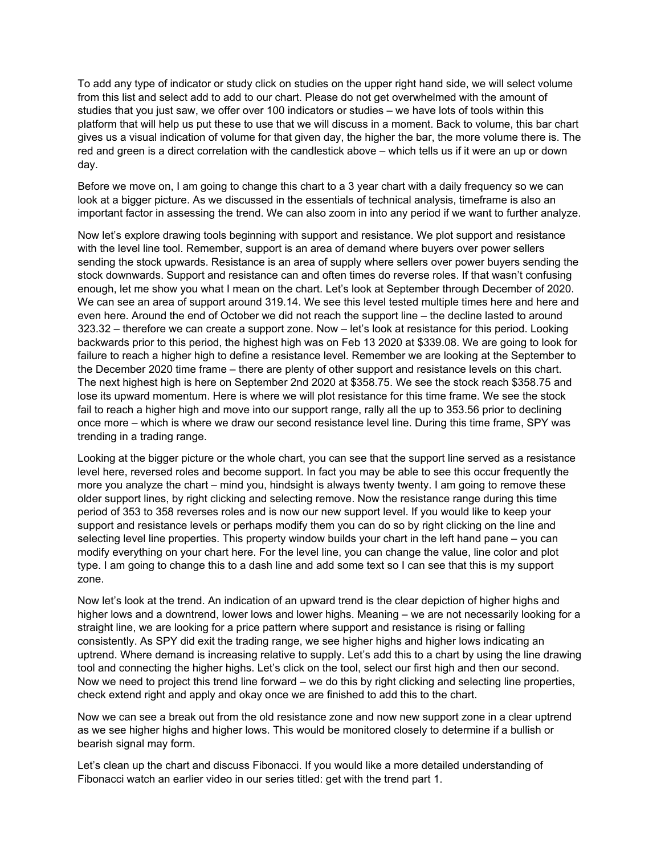To add any type of indicator or study click on studies on the upper right hand side, we will select volume from this list and select add to add to our chart. Please do not get overwhelmed with the amount of studies that you just saw, we offer over 100 indicators or studies – we have lots of tools within this platform that will help us put these to use that we will discuss in a moment. Back to volume, this bar chart gives us a visual indication of volume for that given day, the higher the bar, the more volume there is. The red and green is a direct correlation with the candlestick above – which tells us if it were an up or down day.

Before we move on, I am going to change this chart to a 3 year chart with a daily frequency so we can look at a bigger picture. As we discussed in the essentials of technical analysis, timeframe is also an important factor in assessing the trend. We can also zoom in into any period if we want to further analyze.

Now let's explore drawing tools beginning with support and resistance. We plot support and resistance with the level line tool. Remember, support is an area of demand where buyers over power sellers sending the stock upwards. Resistance is an area of supply where sellers over power buyers sending the stock downwards. Support and resistance can and often times do reverse roles. If that wasn't confusing enough, let me show you what I mean on the chart. Let's look at September through December of 2020. We can see an area of support around 319.14. We see this level tested multiple times here and here and even here. Around the end of October we did not reach the support line – the decline lasted to around 323.32 – therefore we can create a support zone. Now – let's look at resistance for this period. Looking backwards prior to this period, the highest high was on Feb 13 2020 at \$339.08. We are going to look for failure to reach a higher high to define a resistance level. Remember we are looking at the September to the December 2020 time frame – there are plenty of other support and resistance levels on this chart. The next highest high is here on September 2nd 2020 at \$358.75. We see the stock reach \$358.75 and lose its upward momentum. Here is where we will plot resistance for this time frame. We see the stock fail to reach a higher high and move into our support range, rally all the up to 353.56 prior to declining once more – which is where we draw our second resistance level line. During this time frame, SPY was trending in a trading range.

Looking at the bigger picture or the whole chart, you can see that the support line served as a resistance level here, reversed roles and become support. In fact you may be able to see this occur frequently the more you analyze the chart – mind you, hindsight is always twenty twenty. I am going to remove these older support lines, by right clicking and selecting remove. Now the resistance range during this time period of 353 to 358 reverses roles and is now our new support level. If you would like to keep your support and resistance levels or perhaps modify them you can do so by right clicking on the line and selecting level line properties. This property window builds your chart in the left hand pane – you can modify everything on your chart here. For the level line, you can change the value, line color and plot type. I am going to change this to a dash line and add some text so I can see that this is my support zone.

Now let's look at the trend. An indication of an upward trend is the clear depiction of higher highs and higher lows and a downtrend, lower lows and lower highs. Meaning – we are not necessarily looking for a straight line, we are looking for a price pattern where support and resistance is rising or falling consistently. As SPY did exit the trading range, we see higher highs and higher lows indicating an uptrend. Where demand is increasing relative to supply. Let's add this to a chart by using the line drawing tool and connecting the higher highs. Let's click on the tool, select our first high and then our second. Now we need to project this trend line forward – we do this by right clicking and selecting line properties, check extend right and apply and okay once we are finished to add this to the chart.

Now we can see a break out from the old resistance zone and now new support zone in a clear uptrend as we see higher highs and higher lows. This would be monitored closely to determine if a bullish or bearish signal may form.

Let's clean up the chart and discuss Fibonacci. If you would like a more detailed understanding of Fibonacci watch an earlier video in our series titled: get with the trend part 1.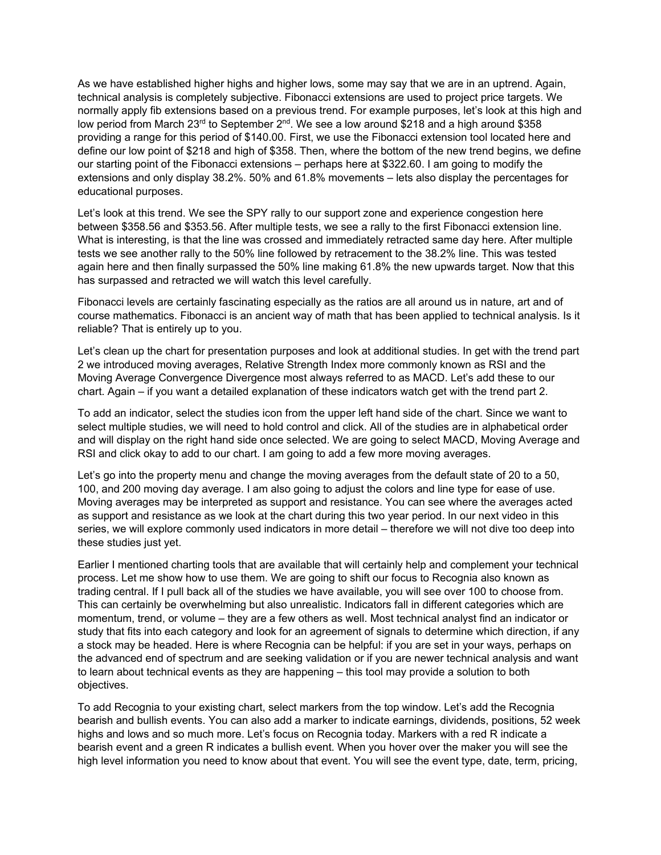As we have established higher highs and higher lows, some may say that we are in an uptrend. Again, technical analysis is completely subjective. Fibonacci extensions are used to project price targets. We normally apply fib extensions based on a previous trend. For example purposes, let's look at this high and low period from March 23<sup>rd</sup> to September 2<sup>nd</sup>. We see a low around \$218 and a high around \$358 providing a range for this period of \$140.00. First, we use the Fibonacci extension tool located here and define our low point of \$218 and high of \$358. Then, where the bottom of the new trend begins, we define our starting point of the Fibonacci extensions – perhaps here at \$322.60. I am going to modify the extensions and only display 38.2%. 50% and 61.8% movements – lets also display the percentages for educational purposes.

Let's look at this trend. We see the SPY rally to our support zone and experience congestion here between \$358.56 and \$353.56. After multiple tests, we see a rally to the first Fibonacci extension line. What is interesting, is that the line was crossed and immediately retracted same day here. After multiple tests we see another rally to the 50% line followed by retracement to the 38.2% line. This was tested again here and then finally surpassed the 50% line making 61.8% the new upwards target. Now that this has surpassed and retracted we will watch this level carefully.

Fibonacci levels are certainly fascinating especially as the ratios are all around us in nature, art and of course mathematics. Fibonacci is an ancient way of math that has been applied to technical analysis. Is it reliable? That is entirely up to you.

Let's clean up the chart for presentation purposes and look at additional studies. In get with the trend part 2 we introduced moving averages, Relative Strength Index more commonly known as RSI and the Moving Average Convergence Divergence most always referred to as MACD. Let's add these to our chart. Again – if you want a detailed explanation of these indicators watch get with the trend part 2.

To add an indicator, select the studies icon from the upper left hand side of the chart. Since we want to select multiple studies, we will need to hold control and click. All of the studies are in alphabetical order and will display on the right hand side once selected. We are going to select MACD, Moving Average and RSI and click okay to add to our chart. I am going to add a few more moving averages.

Let's go into the property menu and change the moving averages from the default state of 20 to a 50, 100, and 200 moving day average. I am also going to adjust the colors and line type for ease of use. Moving averages may be interpreted as support and resistance. You can see where the averages acted as support and resistance as we look at the chart during this two year period. In our next video in this series, we will explore commonly used indicators in more detail – therefore we will not dive too deep into these studies just yet.

Earlier I mentioned charting tools that are available that will certainly help and complement your technical process. Let me show how to use them. We are going to shift our focus to Recognia also known as trading central. If I pull back all of the studies we have available, you will see over 100 to choose from. This can certainly be overwhelming but also unrealistic. Indicators fall in different categories which are momentum, trend, or volume – they are a few others as well. Most technical analyst find an indicator or study that fits into each category and look for an agreement of signals to determine which direction, if any a stock may be headed. Here is where Recognia can be helpful: if you are set in your ways, perhaps on the advanced end of spectrum and are seeking validation or if you are newer technical analysis and want to learn about technical events as they are happening – this tool may provide a solution to both objectives.

To add Recognia to your existing chart, select markers from the top window. Let's add the Recognia bearish and bullish events. You can also add a marker to indicate earnings, dividends, positions, 52 week highs and lows and so much more. Let's focus on Recognia today. Markers with a red R indicate a bearish event and a green R indicates a bullish event. When you hover over the maker you will see the high level information you need to know about that event. You will see the event type, date, term, pricing,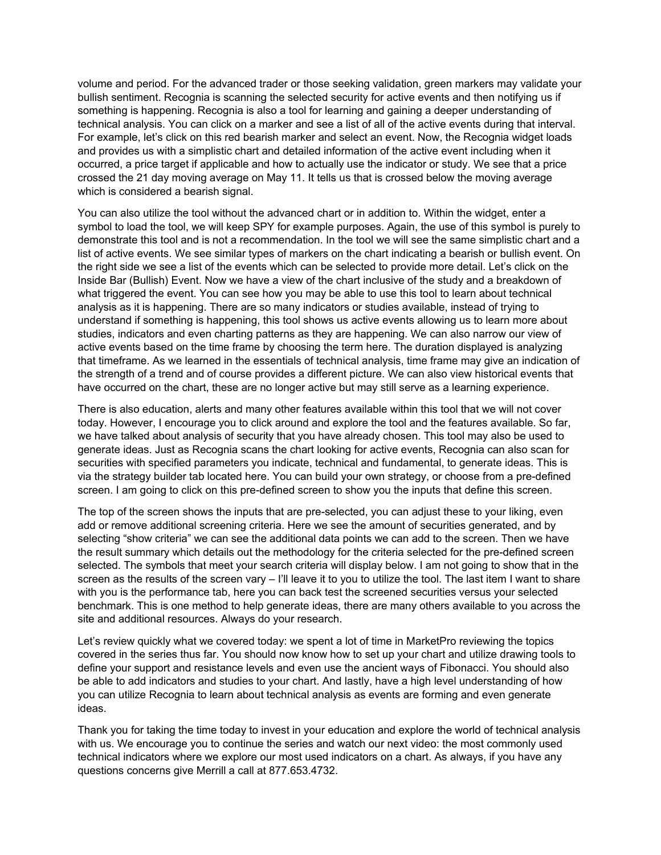volume and period. For the advanced trader or those seeking validation, green markers may validate your bullish sentiment. Recognia is scanning the selected security for active events and then notifying us if something is happening. Recognia is also a tool for learning and gaining a deeper understanding of technical analysis. You can click on a marker and see a list of all of the active events during that interval. For example, let's click on this red bearish marker and select an event. Now, the Recognia widget loads and provides us with a simplistic chart and detailed information of the active event including when it occurred, a price target if applicable and how to actually use the indicator or study. We see that a price crossed the 21 day moving average on May 11. It tells us that is crossed below the moving average which is considered a bearish signal.

You can also utilize the tool without the advanced chart or in addition to. Within the widget, enter a symbol to load the tool, we will keep SPY for example purposes. Again, the use of this symbol is purely to demonstrate this tool and is not a recommendation. In the tool we will see the same simplistic chart and a list of active events. We see similar types of markers on the chart indicating a bearish or bullish event. On the right side we see a list of the events which can be selected to provide more detail. Let's click on the Inside Bar (Bullish) Event. Now we have a view of the chart inclusive of the study and a breakdown of what triggered the event. You can see how you may be able to use this tool to learn about technical analysis as it is happening. There are so many indicators or studies available, instead of trying to understand if something is happening, this tool shows us active events allowing us to learn more about studies, indicators and even charting patterns as they are happening. We can also narrow our view of active events based on the time frame by choosing the term here. The duration displayed is analyzing that timeframe. As we learned in the essentials of technical analysis, time frame may give an indication of the strength of a trend and of course provides a different picture. We can also view historical events that have occurred on the chart, these are no longer active but may still serve as a learning experience.

There is also education, alerts and many other features available within this tool that we will not cover today. However, I encourage you to click around and explore the tool and the features available. So far, we have talked about analysis of security that you have already chosen. This tool may also be used to generate ideas. Just as Recognia scans the chart looking for active events, Recognia can also scan for securities with specified parameters you indicate, technical and fundamental, to generate ideas. This is via the strategy builder tab located here. You can build your own strategy, or choose from a pre-defined screen. I am going to click on this pre-defined screen to show you the inputs that define this screen.

The top of the screen shows the inputs that are pre-selected, you can adjust these to your liking, even add or remove additional screening criteria. Here we see the amount of securities generated, and by selecting "show criteria" we can see the additional data points we can add to the screen. Then we have the result summary which details out the methodology for the criteria selected for the pre-defined screen selected. The symbols that meet your search criteria will display below. I am not going to show that in the screen as the results of the screen vary - I'll leave it to you to utilize the tool. The last item I want to share with you is the performance tab, here you can back test the screened securities versus your selected benchmark. This is one method to help generate ideas, there are many others available to you across the site and additional resources. Always do your research.

Let's review quickly what we covered today: we spent a lot of time in MarketPro reviewing the topics covered in the series thus far. You should now know how to set up your chart and utilize drawing tools to define your support and resistance levels and even use the ancient ways of Fibonacci. You should also be able to add indicators and studies to your chart. And lastly, have a high level understanding of how you can utilize Recognia to learn about technical analysis as events are forming and even generate ideas.

Thank you for taking the time today to invest in your education and explore the world of technical analysis with us. We encourage you to continue the series and watch our next video: the most commonly used technical indicators where we explore our most used indicators on a chart. As always, if you have any questions concerns give Merrill a call at 877.653.4732.